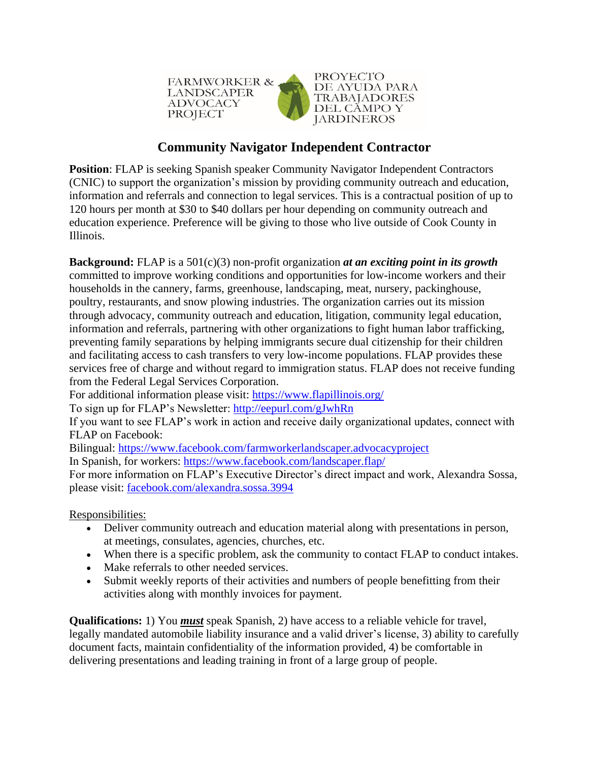

## **Community Navigator Independent Contractor**

**Position:** [FLAP](http://www.fwadvocacy.org/) is seeking Spanish speaker Community Navigator Independent Contractors (CNIC) to support the organization's mission by providing community outreach and education, information and referrals and connection to legal services. This is a contractual position of up to 120 hours per month at \$30 to \$40 dollars per hour depending on community outreach and education experience. Preference will be giving to those who live outside of Cook County in Illinois.

**Background:** FLAP is a 501(c)(3) non-profit organization *at an exciting point in its growth* committed to improve working conditions and opportunities for low-income workers and their households in the cannery, farms, greenhouse, landscaping, meat, nursery, packinghouse, poultry, restaurants, and snow plowing industries. The organization carries out its mission through advocacy, community outreach and education, litigation, community legal education, information and referrals, partnering with other organizations to fight human labor trafficking, preventing family separations by helping immigrants secure dual citizenship for their children and facilitating access to cash transfers to very low-income populations. FLAP provides these services free of charge and without regard to immigration status. FLAP does not receive funding from the Federal Legal Services Corporation.

For additional information please visit:<https://www.flapillinois.org/>

To sign up for FLAP's Newsletter:<http://eepurl.com/gJwhRn>

If you want to see FLAP's work in action and receive daily organizational updates, connect with FLAP on Facebook:

Bilingual: <https://www.facebook.com/farmworkerlandscaper.advocacyproject>

In Spanish, for workers: <https://www.facebook.com/landscaper.flap/>

For more information on FLAP's Executive Director's direct impact and work, Alexandra Sossa, please visit: [facebook.com/alexandra.sossa.3994](https://www.facebook.com/alexandra.sossa.3994)

Responsibilities:

- Deliver community outreach and education material along with presentations in person, at meetings, consulates, agencies, churches, etc.
- When there is a specific problem, ask the community to contact FLAP to conduct intakes.
- Make referrals to other needed services.
- Submit weekly reports of their activities and numbers of people benefitting from their activities along with monthly invoices for payment.

**Qualifications:** 1) You *must* speak Spanish, 2) have access to a reliable vehicle for travel, legally mandated automobile liability insurance and a valid driver's license, 3) ability to carefully document facts, maintain confidentiality of the information provided, 4) be comfortable in delivering presentations and leading training in front of a large group of people.